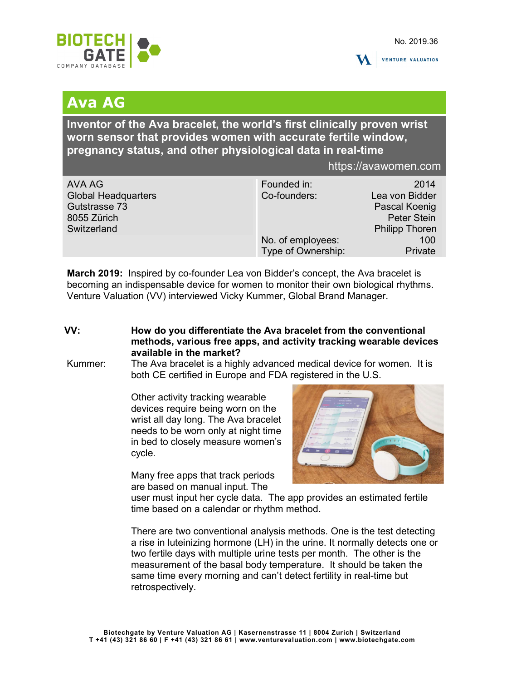



## Ava AG

Inventor of the Ava bracelet, the world's first clinically proven wrist worn sensor that provides women with accurate fertile window, pregnancy status, and other physiological data in real-time

https://avawomen.com

March 2019: Inspired by co-founder Lea von Bidder's concept, the Ava bracelet is becoming an indispensable device for women to monitor their own biological rhythms. Venture Valuation (VV) interviewed Vicky Kummer, Global Brand Manager.

- VV: How do you differentiate the Ava bracelet from the conventional methods, various free apps, and activity tracking wearable devices available in the market?
- Kummer: The Ava bracelet is a highly advanced medical device for women. It is both CE certified in Europe and FDA registered in the U.S.

Other activity tracking wearable devices require being worn on the wrist all day long. The Ava bracelet needs to be worn only at night time in bed to closely measure women's cycle.

Many free apps that track periods are based on manual input. The



user must input her cycle data. The app provides an estimated fertile time based on a calendar or rhythm method.

There are two conventional analysis methods. One is the test detecting a rise in luteinizing hormone (LH) in the urine. It normally detects one or two fertile days with multiple urine tests per month. The other is the measurement of the basal body temperature. It should be taken the same time every morning and can't detect fertility in real-time but retrospectively.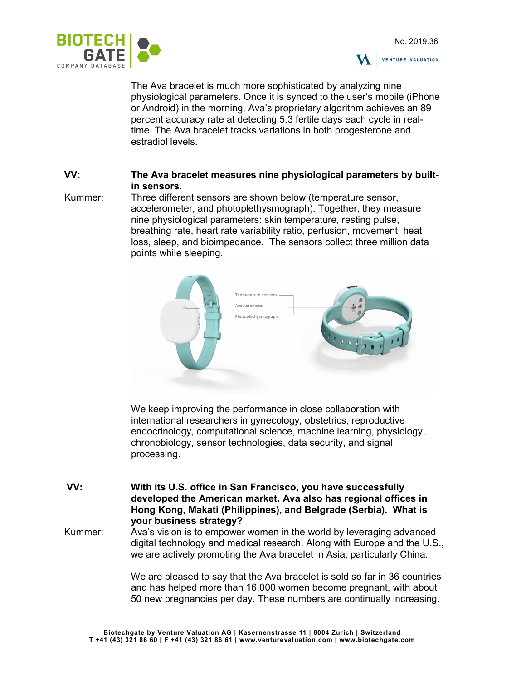



The Ava bracelet is much more sophisticated by analyzing nine physiological parameters. Once it is synced to the user's mobile (iPhone or Android) in the morning, Ava's proprietary algorithm achieves an 89 percent accuracy rate at detecting 5.3 fertile days each cycle in realtime. The Ava bracelet tracks variations in both progesterone and estradiol levels.

## VV: The Ava bracelet measures nine physiological parameters by builtin sensors.

Kummer: Three different sensors are shown below (temperature sensor, accelerometer, and photoplethysmograph). Together, they measure nine physiological parameters: skin temperature, resting pulse, breathing rate, heart rate variability ratio, perfusion, movement, heat loss, sleep, and bioimpedance. The sensors collect three million data points while sleeping.



We keep improving the performance in close collaboration with international researchers in gynecology, obstetrics, reproductive endocrinology, computational science, machine learning, physiology, chronobiology, sensor technologies, data security, and signal processing.

VV: With its U.S. office in San Francisco, you have successfully developed the American market. Ava also has regional offices in Hong Kong, Makati (Philippines), and Belgrade (Serbia). What is your business strategy?

Kummer: Ava's vision is to empower women in the world by leveraging advanced digital technology and medical research. Along with Europe and the U.S., we are actively promoting the Ava bracelet in Asia, particularly China.

> We are pleased to say that the Ava bracelet is sold so far in 36 countries and has helped more than 16,000 women become pregnant, with about 50 new pregnancies per day. These numbers are continually increasing.